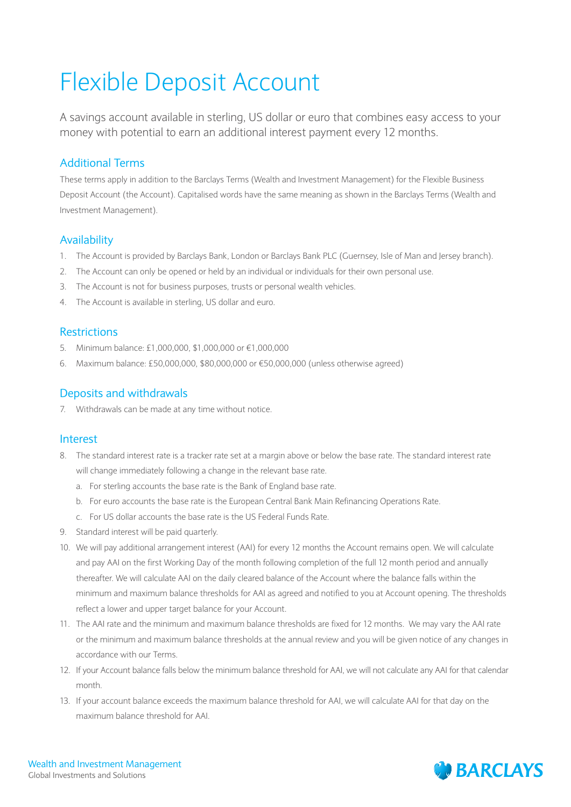# Flexible Deposit Account

A savings account available in sterling, US dollar or euro that combines easy access to your money with potential to earn an additional interest payment every 12 months.

# Additional Terms

These terms apply in addition to the Barclays Terms (Wealth and Investment Management) for the Flexible Business Deposit Account (the Account). Capitalised words have the same meaning as shown in the Barclays Terms (Wealth and Investment Management).

# Availability

- 1. The Account is provided by Barclays Bank, London or Barclays Bank PLC (Guernsey, Isle of Man and Jersey branch).
- 2. The Account can only be opened or held by an individual or individuals for their own personal use.
- 3. The Account is not for business purposes, trusts or personal wealth vehicles.
- 4. The Account is available in sterling, US dollar and euro.

#### Restrictions

- 5. Minimum balance: £1,000,000, \$1,000,000 or €1,000,000
- 6. Maximum balance: £50,000,000, \$80,000,000 or €50,000,000 (unless otherwise agreed)

### Deposits and withdrawals

7. Withdrawals can be made at any time without notice.

#### Interest

- 8. The standard interest rate is a tracker rate set at a margin above or below the base rate. The standard interest rate will change immediately following a change in the relevant base rate.
	- a. For sterling accounts the base rate is the Bank of England base rate.
	- b. For euro accounts the base rate is the European Central Bank Main Refinancing Operations Rate.
	- c. For US dollar accounts the base rate is the US Federal Funds Rate.
- 9. Standard interest will be paid quarterly.
- 10. We will pay additional arrangement interest (AAI) for every 12 months the Account remains open. We will calculate and pay AAI on the first Working Day of the month following completion of the full 12 month period and annually thereafter. We will calculate AAI on the daily cleared balance of the Account where the balance falls within the minimum and maximum balance thresholds for AAI as agreed and notified to you at Account opening. The thresholds reflect a lower and upper target balance for your Account.
- 11. The AAI rate and the minimum and maximum balance thresholds are fixed for 12 months. We may vary the AAI rate or the minimum and maximum balance thresholds at the annual review and you will be given notice of any changes in accordance with our Terms.
- 12. If your Account balance falls below the minimum balance threshold for AAI, we will not calculate any AAI for that calendar month.
- 13. If your account balance exceeds the maximum balance threshold for AAI, we will calculate AAI for that day on the maximum balance threshold for AAI.